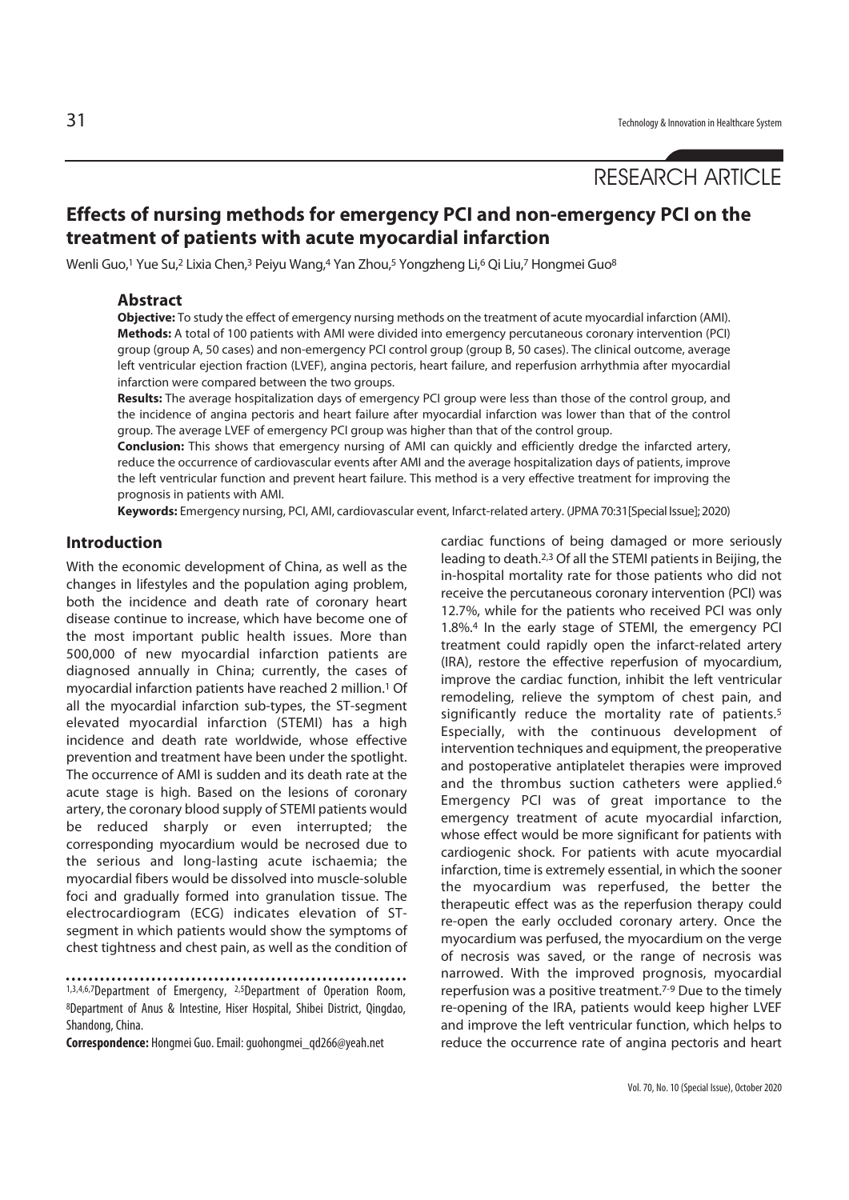# RESEARCH ARTICLE

## **Effects of nursing methods for emergency PCI and non-emergency PCI on the treatment of patients with acute myocardial infarction**

Wenli Guo,<sup>1</sup> Yue Su,<sup>2</sup> Lixia Chen,<sup>3</sup> Peiyu Wang,<sup>4</sup> Yan Zhou,<sup>5</sup> Yongzheng Li,<sup>6</sup> Qi Liu,<sup>7</sup> Hongmei Guo<sup>8</sup>

#### **Abstract**

**Objective:** To study the effect of emergency nursing methods on the treatment of acute myocardial infarction (AMI). **Methods:** A total of 100 patients with AMI were divided into emergency percutaneous coronary intervention (PCI) group (group A, 50 cases) and non-emergency PCI control group (group B, 50 cases). The clinical outcome, average left ventricular ejection fraction (LVEF), angina pectoris, heart failure, and reperfusion arrhythmia after myocardial infarction were compared between the two groups.

**Results:** The average hospitalization days of emergency PCI group were less than those of the control group, and the incidence of angina pectoris and heart failure after myocardial infarction was lower than that of the control group. The average LVEF of emergency PCI group was higher than that of the control group.

**Conclusion:** This shows that emergency nursing of AMI can quickly and efficiently dredge the infarcted artery, reduce the occurrence of cardiovascular events after AMI and the average hospitalization days of patients, improve the left ventricular function and prevent heart failure. This method is a very effective treatment for improving the prognosis in patients with AMI.

**Keywords:** Emergency nursing, PCI, AMI, cardiovascular event, Infarct-related artery. (JPMA 70:31[Special Issue]; 2020)

### **Introduction**

With the economic development of China, as well as the changes in lifestyles and the population aging problem, both the incidence and death rate of coronary heart disease continue to increase, which have become one of the most important public health issues. More than 500,000 of new myocardial infarction patients are diagnosed annually in China; currently, the cases of myocardial infarction patients have reached 2 million.1 Of all the myocardial infarction sub-types, the ST-segment elevated myocardial infarction (STEMI) has a high incidence and death rate worldwide, whose effective prevention and treatment have been under the spotlight. The occurrence of AMI is sudden and its death rate at the acute stage is high. Based on the lesions of coronary artery, the coronary blood supply of STEMI patients would be reduced sharply or even interrupted; the corresponding myocardium would be necrosed due to the serious and long-lasting acute ischaemia; the myocardial fibers would be dissolved into muscle-soluble foci and gradually formed into granulation tissue. The electrocardiogram (ECG) indicates elevation of STsegment in which patients would show the symptoms of chest tightness and chest pain, as well as the condition of

**Correspondence:** Hongmei Guo. Email: guohongmei\_qd266@yeah.net

cardiac functions of being damaged or more seriously leading to death.2,3 Of all the STEMI patients in Beijing, the in-hospital mortality rate for those patients who did not receive the percutaneous coronary intervention (PCI) was 12.7%, while for the patients who received PCI was only 1.8%.4 In the early stage of STEMI, the emergency PCI treatment could rapidly open the infarct-related artery (IRA), restore the effective reperfusion of myocardium, improve the cardiac function, inhibit the left ventricular remodeling, relieve the symptom of chest pain, and significantly reduce the mortality rate of patients.<sup>5</sup> Especially, with the continuous development of intervention techniques and equipment, the preoperative and postoperative antiplatelet therapies were improved and the thrombus suction catheters were applied.<sup>6</sup> Emergency PCI was of great importance to the emergency treatment of acute myocardial infarction, whose effect would be more significant for patients with cardiogenic shock. For patients with acute myocardial infarction, time is extremely essential, in which the sooner the myocardium was reperfused, the better the therapeutic effect was as the reperfusion therapy could re-open the early occluded coronary artery. Once the myocardium was perfused, the myocardium on the verge of necrosis was saved, or the range of necrosis was narrowed. With the improved prognosis, myocardial reperfusion was a positive treatment.<sup>7-9</sup> Due to the timely re-opening of the IRA, patients would keep higher LVEF and improve the left ventricular function, which helps to reduce the occurrence rate of angina pectoris and heart

<sup>1,3,4,6,7</sup>Department of Emergency, 2,5Department of Operation Room, 8Department of Anus & Intestine, Hiser Hospital, Shibei District, Qingdao, Shandong, China.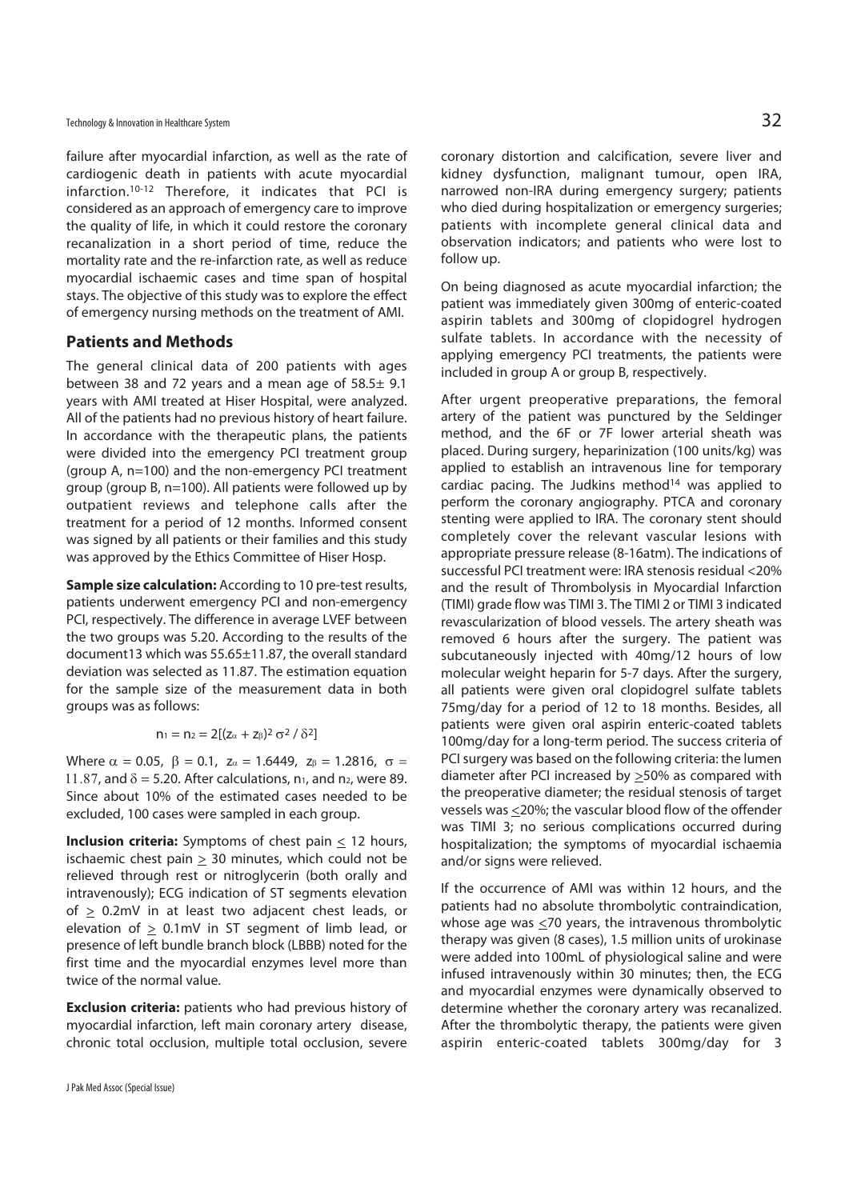failure after myocardial infarction, as well as the rate of cardiogenic death in patients with acute myocardial infarction.10-12 Therefore, it indicates that PCI is considered as an approach of emergency care to improve the quality of life, in which it could restore the coronary recanalization in a short period of time, reduce the mortality rate and the re-infarction rate, as well as reduce myocardial ischaemic cases and time span of hospital stays. The objective of this study was to explore the effect of emergency nursing methods on the treatment of AMI.

#### **Patients and Methods**

The general clinical data of 200 patients with ages between 38 and 72 years and a mean age of 58.5± 9.1 years with AMI treated at Hiser Hospital, were analyzed. All of the patients had no previous history of heart failure. In accordance with the therapeutic plans, the patients were divided into the emergency PCI treatment group (group A, n=100) and the non-emergency PCI treatment group (group B, n=100). All patients were followed up by outpatient reviews and telephone calls after the treatment for a period of 12 months. Informed consent was signed by all patients or their families and this study was approved by the Ethics Committee of Hiser Hosp.

**Sample size calculation:** According to 10 pre-test results, patients underwent emergency PCI and non-emergency PCI, respectively. The difference in average LVEF between the two groups was 5.20. According to the results of the document13 which was 55.65±11.87, the overall standard deviation was selected as 11.87. The estimation equation for the sample size of the measurement data in both groups was as follows:

$$
n_1=n_2=2[(z_\alpha+z_\beta)^2\,\sigma^2\,/\,\delta^2]
$$

Where  $\alpha = 0.05$ ,  $\beta = 0.1$ ,  $z_{\alpha} = 1.6449$ ,  $z_{\beta} = 1.2816$ ,  $\sigma =$ 11.87, and  $\delta$  = 5.20. After calculations, n<sub>1</sub>, and n<sub>2</sub>, were 89. Since about 10% of the estimated cases needed to be excluded, 100 cases were sampled in each group.

**Inclusion criteria:** Symptoms of chest pain  $\leq$  12 hours, ischaemic chest pain  $\geq$  30 minutes, which could not be relieved through rest or nitroglycerin (both orally and intravenously); ECG indication of ST segments elevation of  $\geq$  0.2mV in at least two adjacent chest leads, or elevation of  $\geq$  0.1mV in ST segment of limb lead, or presence of left bundle branch block (LBBB) noted for the first time and the myocardial enzymes level more than twice of the normal value.

**Exclusion criteria:** patients who had previous history of myocardial infarction, left main coronary artery disease, chronic total occlusion, multiple total occlusion, severe

coronary distortion and calcification, severe liver and kidney dysfunction, malignant tumour, open IRA, narrowed non-IRA during emergency surgery; patients who died during hospitalization or emergency surgeries; patients with incomplete general clinical data and observation indicators; and patients who were lost to follow up.

On being diagnosed as acute myocardial infarction; the patient was immediately given 300mg of enteric-coated aspirin tablets and 300mg of clopidogrel hydrogen sulfate tablets. In accordance with the necessity of applying emergency PCI treatments, the patients were included in group A or group B, respectively.

After urgent preoperative preparations, the femoral artery of the patient was punctured by the Seldinger method, and the 6F or 7F lower arterial sheath was placed. During surgery, heparinization (100 units/kg) was applied to establish an intravenous line for temporary cardiac pacing. The Judkins method $14$  was applied to perform the coronary angiography. PTCA and coronary stenting were applied to IRA. The coronary stent should completely cover the relevant vascular lesions with appropriate pressure release (8-16atm). The indications of successful PCI treatment were: IRA stenosis residual <20% and the result of Thrombolysis in Myocardial Infarction (TIMI) grade flow was TIMI 3. The TIMI 2 or TIMI 3 indicated revascularization of blood vessels. The artery sheath was removed 6 hours after the surgery. The patient was subcutaneously injected with 40mg/12 hours of low molecular weight heparin for 5-7 days. After the surgery, all patients were given oral clopidogrel sulfate tablets 75mg/day for a period of 12 to 18 months. Besides, all patients were given oral aspirin enteric-coated tablets 100mg/day for a long-term period. The success criteria of PCI surgery was based on the following criteria: the lumen diameter after PCI increased by >50% as compared with the preoperative diameter; the residual stenosis of target vessels was <20%; the vascular blood flow of the offender was TIMI 3; no serious complications occurred during hospitalization; the symptoms of myocardial ischaemia and/or signs were relieved.

If the occurrence of AMI was within 12 hours, and the patients had no absolute thrombolytic contraindication, whose age was  $\leq$ 70 years, the intravenous thrombolytic therapy was given (8 cases), 1.5 million units of urokinase were added into 100mL of physiological saline and were infused intravenously within 30 minutes; then, the ECG and myocardial enzymes were dynamically observed to determine whether the coronary artery was recanalized. After the thrombolytic therapy, the patients were given aspirin enteric-coated tablets 300mg/day for 3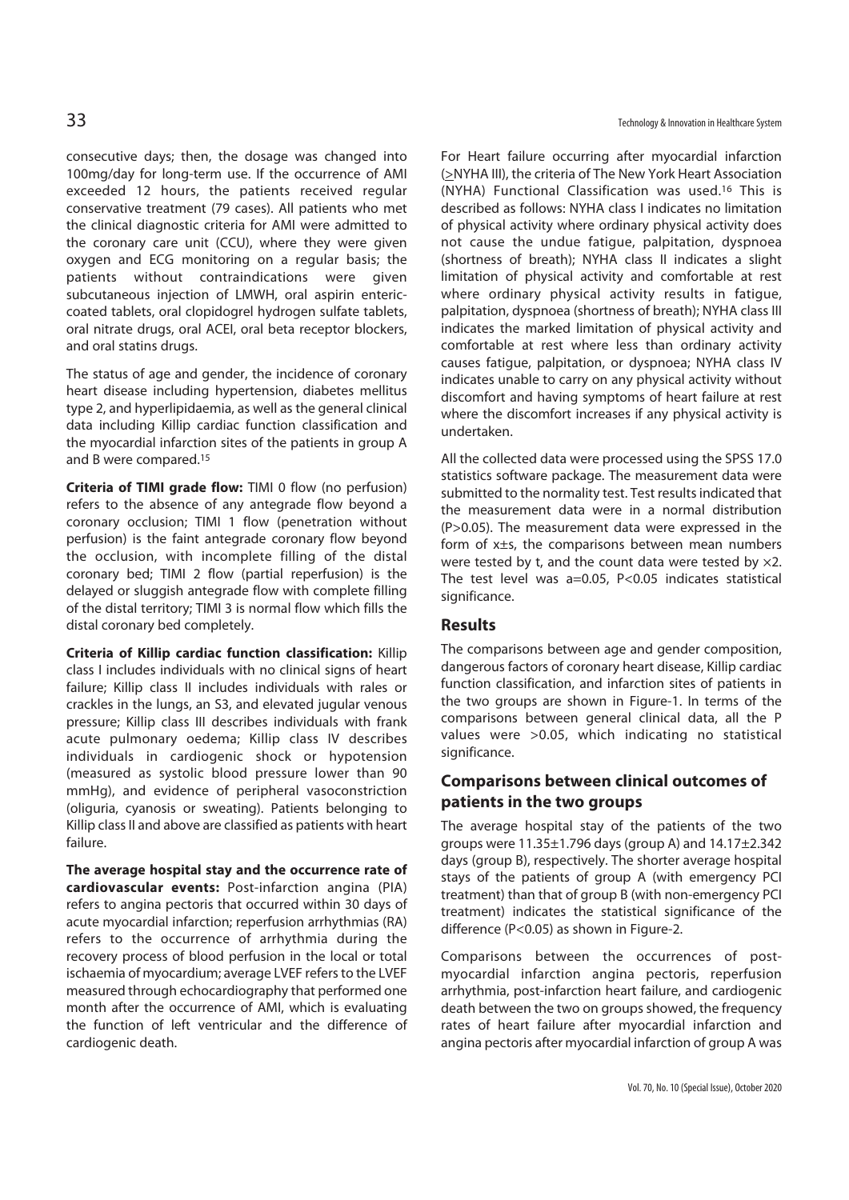consecutive days; then, the dosage was changed into 100mg/day for long-term use. If the occurrence of AMI exceeded 12 hours, the patients received regular conservative treatment (79 cases). All patients who met the clinical diagnostic criteria for AMI were admitted to the coronary care unit (CCU), where they were given oxygen and ECG monitoring on a regular basis; the patients without contraindications were given subcutaneous injection of LMWH, oral aspirin entericcoated tablets, oral clopidogrel hydrogen sulfate tablets, oral nitrate drugs, oral ACEI, oral beta receptor blockers, and oral statins drugs.

The status of age and gender, the incidence of coronary heart disease including hypertension, diabetes mellitus type 2, and hyperlipidaemia, as well as the general clinical data including Killip cardiac function classification and the myocardial infarction sites of the patients in group A and B were compared.15

**Criteria of TIMI grade flow:** TIMI 0 flow (no perfusion) refers to the absence of any antegrade flow beyond a coronary occlusion; TIMI 1 flow (penetration without perfusion) is the faint antegrade coronary flow beyond the occlusion, with incomplete filling of the distal coronary bed; TIMI 2 flow (partial reperfusion) is the delayed or sluggish antegrade flow with complete filling of the distal territory; TIMI 3 is normal flow which fills the distal coronary bed completely.

**Criteria of Killip cardiac function classification:** Killip class I includes individuals with no clinical signs of heart failure; Killip class II includes individuals with rales or crackles in the lungs, an S3, and elevated jugular venous pressure; Killip class III describes individuals with frank acute pulmonary oedema; Killip class IV describes individuals in cardiogenic shock or hypotension (measured as systolic blood pressure lower than 90 mmHg), and evidence of peripheral vasoconstriction (oliguria, cyanosis or sweating). Patients belonging to Killip class II and above are classified as patients with heart failure.

**The average hospital stay and the occurrence rate of cardiovascular events:** Post-infarction angina (PIA) refers to angina pectoris that occurred within 30 days of acute myocardial infarction; reperfusion arrhythmias (RA) refers to the occurrence of arrhythmia during the recovery process of blood perfusion in the local or total ischaemia of myocardium; average LVEF refers to the LVEF measured through echocardiography that performed one month after the occurrence of AMI, which is evaluating the function of left ventricular and the difference of cardiogenic death.

For Heart failure occurring after myocardial infarction (>NYHA III), the criteria of The New York Heart Association (NYHA) Functional Classification was used.16 This is described as follows: NYHA class I indicates no limitation of physical activity where ordinary physical activity does not cause the undue fatigue, palpitation, dyspnoea (shortness of breath); NYHA class II indicates a slight limitation of physical activity and comfortable at rest where ordinary physical activity results in fatigue, palpitation, dyspnoea (shortness of breath); NYHA class III indicates the marked limitation of physical activity and comfortable at rest where less than ordinary activity causes fatigue, palpitation, or dyspnoea; NYHA class IV indicates unable to carry on any physical activity without discomfort and having symptoms of heart failure at rest where the discomfort increases if any physical activity is undertaken.

All the collected data were processed using the SPSS 17.0 statistics software package. The measurement data were submitted to the normality test. Test results indicated that the measurement data were in a normal distribution (P>0.05). The measurement data were expressed in the form of x±s, the comparisons between mean numbers were tested by t, and the count data were tested by  $\times 2$ . The test level was a=0.05, P<0.05 indicates statistical significance.

#### **Results**

The comparisons between age and gender composition, dangerous factors of coronary heart disease, Killip cardiac function classification, and infarction sites of patients in the two groups are shown in Figure-1. In terms of the comparisons between general clinical data, all the P values were >0.05, which indicating no statistical significance.

## **Comparisons between clinical outcomes of patients in the two groups**

The average hospital stay of the patients of the two groups were  $11.35\pm1.796$  days (group A) and  $14.17\pm2.342$ days (group B), respectively. The shorter average hospital stays of the patients of group A (with emergency PCI treatment) than that of group B (with non-emergency PCI treatment) indicates the statistical significance of the difference (P<0.05) as shown in Figure-2.

Comparisons between the occurrences of postmyocardial infarction angina pectoris, reperfusion arrhythmia, post-infarction heart failure, and cardiogenic death between the two on groups showed, the frequency rates of heart failure after myocardial infarction and angina pectoris after myocardial infarction of group A was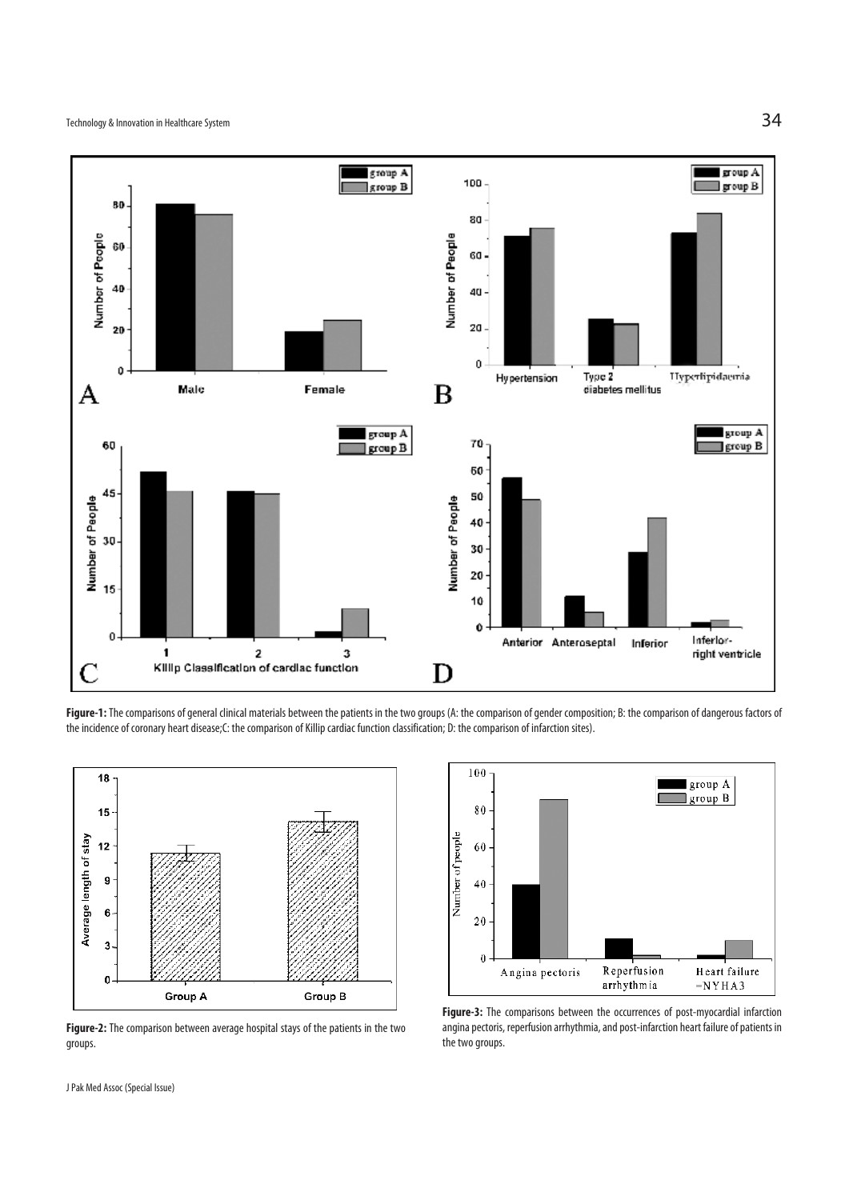

Figure-1: The comparisons of general clinical materials between the patients in the two groups (A: the comparison of gender composition; B: the comparison of dangerous factors of the incidence of coronary heart disease;C: the comparison of Killip cardiac function classification; D: the comparison of infarction sites).



**Figure-2:** The comparison between average hospital stays of the patients in the two groups.



**Figure-3:** The comparisons between the occurrences of post-myocardial infarction angina pectoris, reperfusion arrhythmia, and post-infarction heart failure of patients in the two groups.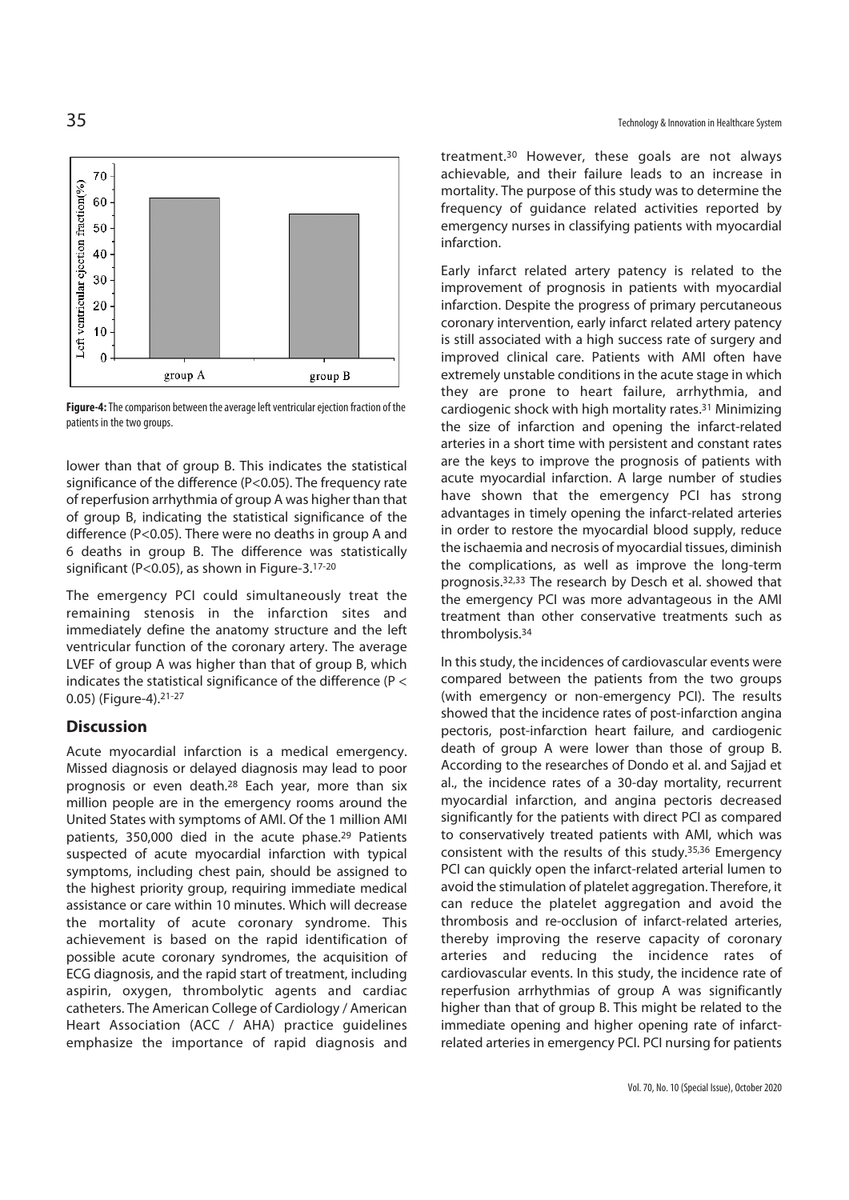

**Figure-4:** The comparison between the average left ventricular ejection fraction of the patients in the two groups.

lower than that of group B. This indicates the statistical significance of the difference (P<0.05). The frequency rate of reperfusion arrhythmia of group A was higher than that of group B, indicating the statistical significance of the difference (P<0.05). There were no deaths in group A and 6 deaths in group B. The difference was statistically significant (P<0.05), as shown in Figure-3.17-20

The emergency PCI could simultaneously treat the remaining stenosis in the infarction sites and immediately define the anatomy structure and the left ventricular function of the coronary artery. The average LVEF of group A was higher than that of group B, which indicates the statistical significance of the difference (P < 0.05) (Figure-4).21-27

## **Discussion**

Acute myocardial infarction is a medical emergency. Missed diagnosis or delayed diagnosis may lead to poor prognosis or even death.28 Each year, more than six million people are in the emergency rooms around the United States with symptoms of AMI. Of the 1 million AMI patients, 350,000 died in the acute phase.29 Patients suspected of acute myocardial infarction with typical symptoms, including chest pain, should be assigned to the highest priority group, requiring immediate medical assistance or care within 10 minutes. Which will decrease the mortality of acute coronary syndrome. This achievement is based on the rapid identification of possible acute coronary syndromes, the acquisition of ECG diagnosis, and the rapid start of treatment, including aspirin, oxygen, thrombolytic agents and cardiac catheters. The American College of Cardiology / American Heart Association (ACC / AHA) practice guidelines emphasize the importance of rapid diagnosis and

treatment.30 However, these goals are not always achievable, and their failure leads to an increase in mortality. The purpose of this study was to determine the frequency of guidance related activities reported by emergency nurses in classifying patients with myocardial infarction.

Early infarct related artery patency is related to the improvement of prognosis in patients with myocardial infarction. Despite the progress of primary percutaneous coronary intervention, early infarct related artery patency is still associated with a high success rate of surgery and improved clinical care. Patients with AMI often have extremely unstable conditions in the acute stage in which they are prone to heart failure, arrhythmia, and cardiogenic shock with high mortality rates.31 Minimizing the size of infarction and opening the infarct-related arteries in a short time with persistent and constant rates are the keys to improve the prognosis of patients with acute myocardial infarction. A large number of studies have shown that the emergency PCI has strong advantages in timely opening the infarct-related arteries in order to restore the myocardial blood supply, reduce the ischaemia and necrosis of myocardial tissues, diminish the complications, as well as improve the long-term prognosis.32,33 The research by Desch et al. showed that the emergency PCI was more advantageous in the AMI treatment than other conservative treatments such as thrombolysis.34

In this study, the incidences of cardiovascular events were compared between the patients from the two groups (with emergency or non-emergency PCI). The results showed that the incidence rates of post-infarction angina pectoris, post-infarction heart failure, and cardiogenic death of group A were lower than those of group B. According to the researches of Dondo et al. and Sajjad et al., the incidence rates of a 30-day mortality, recurrent myocardial infarction, and angina pectoris decreased significantly for the patients with direct PCI as compared to conservatively treated patients with AMI, which was consistent with the results of this study.35,36 Emergency PCI can quickly open the infarct-related arterial lumen to avoid the stimulation of platelet aggregation. Therefore, it can reduce the platelet aggregation and avoid the thrombosis and re-occlusion of infarct-related arteries, thereby improving the reserve capacity of coronary arteries and reducing the incidence rates of cardiovascular events. In this study, the incidence rate of reperfusion arrhythmias of group A was significantly higher than that of group B. This might be related to the immediate opening and higher opening rate of infarctrelated arteries in emergency PCI. PCI nursing for patients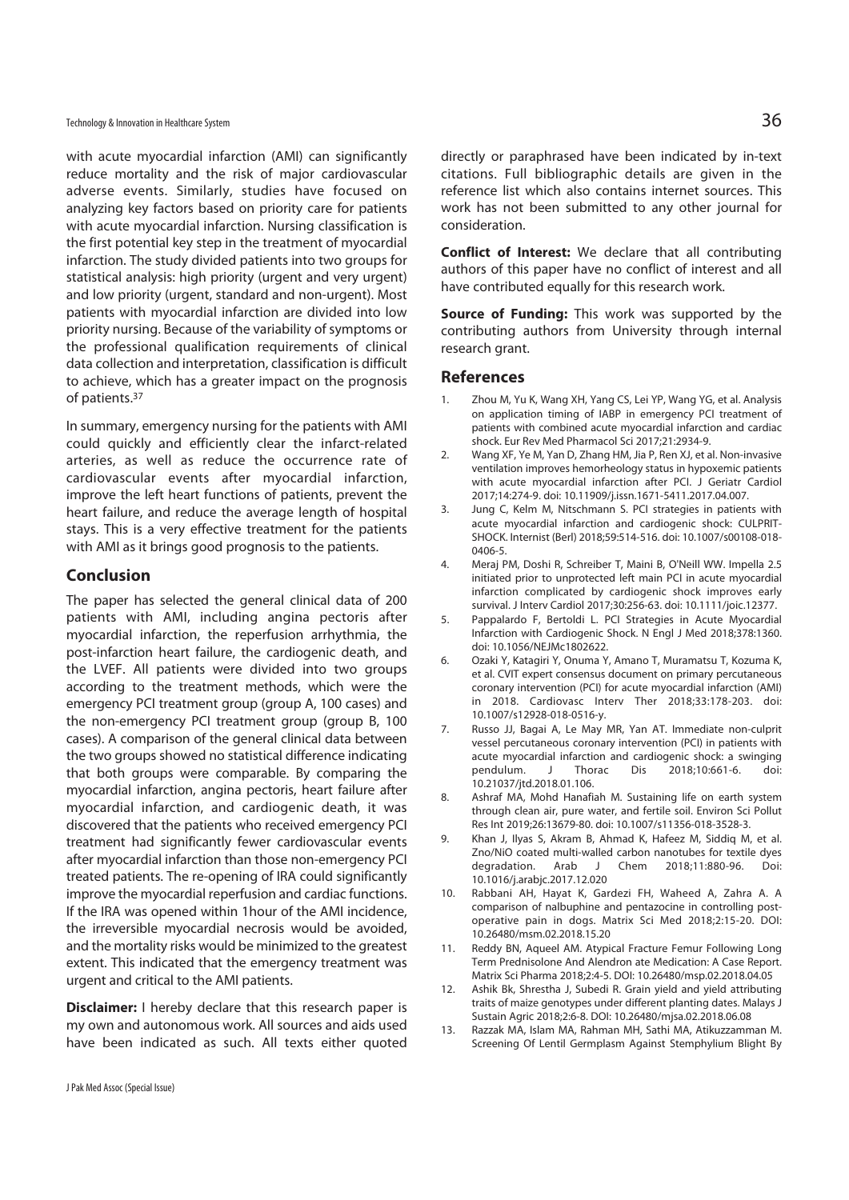with acute myocardial infarction (AMI) can significantly reduce mortality and the risk of major cardiovascular adverse events. Similarly, studies have focused on analyzing key factors based on priority care for patients with acute myocardial infarction. Nursing classification is the first potential key step in the treatment of myocardial infarction. The study divided patients into two groups for statistical analysis: high priority (urgent and very urgent) and low priority (urgent, standard and non-urgent). Most patients with myocardial infarction are divided into low priority nursing. Because of the variability of symptoms or the professional qualification requirements of clinical data collection and interpretation, classification is difficult to achieve, which has a greater impact on the prognosis of patients.37

In summary, emergency nursing for the patients with AMI could quickly and efficiently clear the infarct-related arteries, as well as reduce the occurrence rate of cardiovascular events after myocardial infarction, improve the left heart functions of patients, prevent the heart failure, and reduce the average length of hospital stays. This is a very effective treatment for the patients with AMI as it brings good prognosis to the patients.

#### **Conclusion**

The paper has selected the general clinical data of 200 patients with AMI, including angina pectoris after myocardial infarction, the reperfusion arrhythmia, the post-infarction heart failure, the cardiogenic death, and the LVEF. All patients were divided into two groups according to the treatment methods, which were the emergency PCI treatment group (group A, 100 cases) and the non-emergency PCI treatment group (group B, 100 cases). A comparison of the general clinical data between the two groups showed no statistical difference indicating that both groups were comparable. By comparing the myocardial infarction, angina pectoris, heart failure after myocardial infarction, and cardiogenic death, it was discovered that the patients who received emergency PCI treatment had significantly fewer cardiovascular events after myocardial infarction than those non-emergency PCI treated patients. The re-opening of IRA could significantly improve the myocardial reperfusion and cardiac functions. If the IRA was opened within 1hour of the AMI incidence, the irreversible myocardial necrosis would be avoided, and the mortality risks would be minimized to the greatest extent. This indicated that the emergency treatment was urgent and critical to the AMI patients.

**Disclaimer:** I hereby declare that this research paper is my own and autonomous work. All sources and aids used have been indicated as such. All texts either quoted directly or paraphrased have been indicated by in-text citations. Full bibliographic details are given in the reference list which also contains internet sources. This work has not been submitted to any other journal for consideration.

**Conflict of Interest:** We declare that all contributing authors of this paper have no conflict of interest and all have contributed equally for this research work.

**Source of Funding:** This work was supported by the contributing authors from University through internal research grant.

#### **References**

- Zhou M, Yu K, Wang XH, Yang CS, Lei YP, Wang YG, et al. Analysis on application timing of IABP in emergency PCI treatment of patients with combined acute myocardial infarction and cardiac shock. Eur Rev Med Pharmacol Sci 2017;21:2934-9.
- 2. Wang XF, Ye M, Yan D, Zhang HM, Jia P, Ren XJ, et al. Non-invasive ventilation improves hemorheology status in hypoxemic patients with acute myocardial infarction after PCI. J Geriatr Cardiol 2017;14:274-9. doi: 10.11909/j.issn.1671-5411.2017.04.007.
- 3. Jung C, Kelm M, Nitschmann S. PCI strategies in patients with acute myocardial infarction and cardiogenic shock: CULPRIT-SHOCK. Internist (Berl) 2018;59:514-516. doi: 10.1007/s00108-018- 0406-5.
- 4. Meraj PM, Doshi R, Schreiber T, Maini B, O'Neill WW. Impella 2.5 initiated prior to unprotected left main PCI in acute myocardial infarction complicated by cardiogenic shock improves early survival. J Interv Cardiol 2017;30:256-63. doi: 10.1111/joic.12377.
- 5. Pappalardo F, Bertoldi L. PCI Strategies in Acute Myocardial Infarction with Cardiogenic Shock. N Engl J Med 2018;378:1360. doi: 10.1056/NEJMc1802622.
- 6. Ozaki Y, Katagiri Y, Onuma Y, Amano T, Muramatsu T, Kozuma K, et al. CVIT expert consensus document on primary percutaneous coronary intervention (PCI) for acute myocardial infarction (AMI) in 2018. Cardiovasc Interv Ther 2018;33:178-203. doi: 10.1007/s12928-018-0516-y.
- 7. Russo JJ, Bagai A, Le May MR, Yan AT. Immediate non-culprit vessel percutaneous coronary intervention (PCI) in patients with acute myocardial infarction and cardiogenic shock: a swinging pendulum. J Thorac Dis 2018;10:661-6. doi: 10.21037/jtd.2018.01.106.
- 8. Ashraf MA, Mohd Hanafiah M. Sustaining life on earth system through clean air, pure water, and fertile soil. Environ Sci Pollut Res Int 2019;26:13679-80. doi: 10.1007/s11356-018-3528-3.
- 9. Khan J, Ilyas S, Akram B, Ahmad K, Hafeez M, Siddiq M, et al. Zno/NiO coated multi-walled carbon nanotubes for textile dyes degradation. Arab J Chem 2018;11:880-96. Doi: 10.1016/j.arabjc.2017.12.020
- 10. Rabbani AH, Hayat K, Gardezi FH, Waheed A, Zahra A. A comparison of nalbuphine and pentazocine in controlling postoperative pain in dogs. Matrix Sci Med 2018;2:15-20. DOI: 10.26480/msm.02.2018.15.20
- 11. Reddy BN, Aqueel AM. Atypical Fracture Femur Following Long Term Prednisolone And Alendron ate Medication: A Case Report. Matrix Sci Pharma 2018;2:4-5. DOI: 10.26480/msp.02.2018.04.05
- 12. Ashik Bk, Shrestha J, Subedi R. Grain yield and yield attributing traits of maize genotypes under different planting dates. Malays J Sustain Agric 2018;2:6-8. DOI: 10.26480/mjsa.02.2018.06.08
- 13. Razzak MA, Islam MA, Rahman MH, Sathi MA, Atikuzzamman M. Screening Of Lentil Germplasm Against Stemphylium Blight By